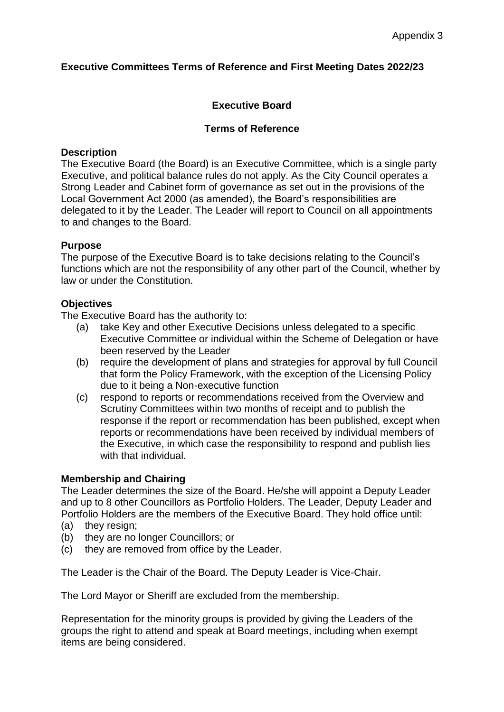## **Executive Committees Terms of Reference and First Meeting Dates 2022/23**

# **Executive Board**

## **Terms of Reference**

#### **Description**

The Executive Board (the Board) is an Executive Committee, which is a single party Executive, and political balance rules do not apply. As the City Council operates a Strong Leader and Cabinet form of governance as set out in the provisions of the Local Government Act 2000 (as amended), the Board's responsibilities are delegated to it by the Leader. The Leader will report to Council on all appointments to and changes to the Board.

## **Purpose**

The purpose of the Executive Board is to take decisions relating to the Council's functions which are not the responsibility of any other part of the Council, whether by law or under the Constitution.

### **Objectives**

The Executive Board has the authority to:

- (a) take Key and other Executive Decisions unless delegated to a specific Executive Committee or individual within the Scheme of Delegation or have been reserved by the Leader
- (b) require the development of plans and strategies for approval by full Council that form the Policy Framework, with the exception of the Licensing Policy due to it being a Non-executive function
- (c) respond to reports or recommendations received from the Overview and Scrutiny Committees within two months of receipt and to publish the response if the report or recommendation has been published, except when reports or recommendations have been received by individual members of the Executive, in which case the responsibility to respond and publish lies with that individual.

#### **Membership and Chairing**

The Leader determines the size of the Board. He/she will appoint a Deputy Leader and up to 8 other Councillors as Portfolio Holders. The Leader, Deputy Leader and Portfolio Holders are the members of the Executive Board. They hold office until:

- (a) they resign;
- (b) they are no longer Councillors; or
- (c) they are removed from office by the Leader.

The Leader is the Chair of the Board. The Deputy Leader is Vice-Chair.

The Lord Mayor or Sheriff are excluded from the membership.

Representation for the minority groups is provided by giving the Leaders of the groups the right to attend and speak at Board meetings, including when exempt items are being considered.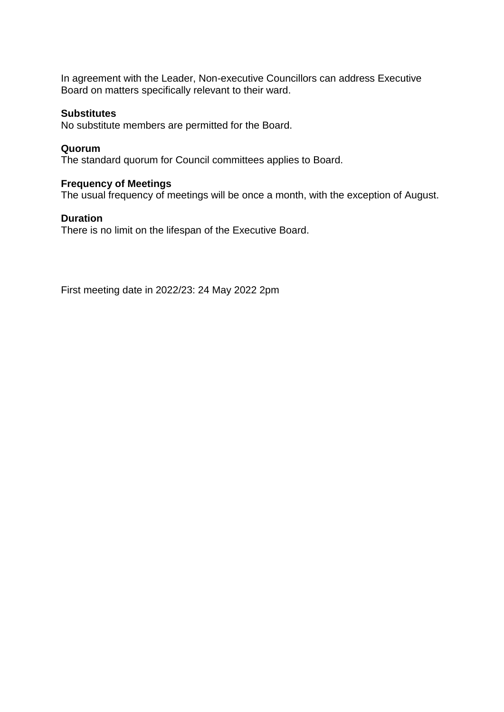In agreement with the Leader, Non-executive Councillors can address Executive Board on matters specifically relevant to their ward.

### **Substitutes**

No substitute members are permitted for the Board.

#### **Quorum**

The standard quorum for Council committees applies to Board.

## **Frequency of Meetings**

The usual frequency of meetings will be once a month, with the exception of August.

### **Duration**

There is no limit on the lifespan of the Executive Board.

First meeting date in 2022/23: 24 May 2022 2pm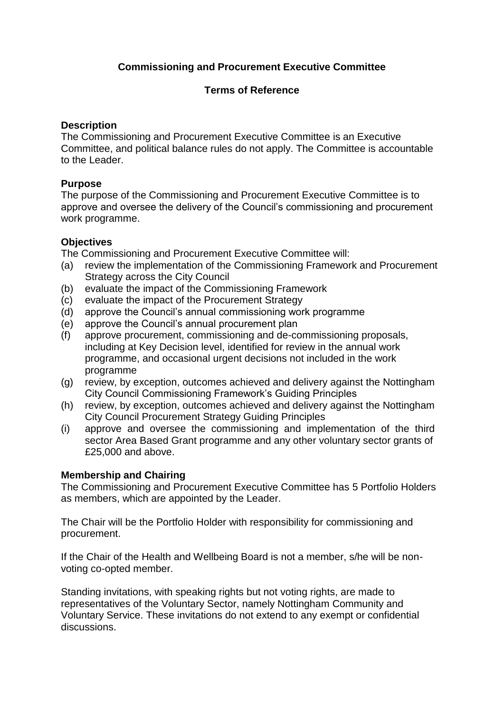# **Commissioning and Procurement Executive Committee**

## **Terms of Reference**

## **Description**

The Commissioning and Procurement Executive Committee is an Executive Committee, and political balance rules do not apply. The Committee is accountable to the Leader.

# **Purpose**

The purpose of the Commissioning and Procurement Executive Committee is to approve and oversee the delivery of the Council's commissioning and procurement work programme.

# **Objectives**

The Commissioning and Procurement Executive Committee will:

- (a) review the implementation of the Commissioning Framework and Procurement Strategy across the City Council
- (b) evaluate the impact of the Commissioning Framework
- (c) evaluate the impact of the Procurement Strategy
- (d) approve the Council's annual commissioning work programme
- (e) approve the Council's annual procurement plan
- (f) approve procurement, commissioning and de-commissioning proposals, including at Key Decision level, identified for review in the annual work programme, and occasional urgent decisions not included in the work programme
- (g) review, by exception, outcomes achieved and delivery against the Nottingham City Council Commissioning Framework's Guiding Principles
- (h) review, by exception, outcomes achieved and delivery against the Nottingham City Council Procurement Strategy Guiding Principles
- (i) approve and oversee the commissioning and implementation of the third sector Area Based Grant programme and any other voluntary sector grants of £25,000 and above.

# **Membership and Chairing**

The Commissioning and Procurement Executive Committee has 5 Portfolio Holders as members, which are appointed by the Leader.

The Chair will be the Portfolio Holder with responsibility for commissioning and procurement.

If the Chair of the Health and Wellbeing Board is not a member, s/he will be nonvoting co-opted member.

Standing invitations, with speaking rights but not voting rights, are made to representatives of the Voluntary Sector, namely Nottingham Community and Voluntary Service. These invitations do not extend to any exempt or confidential discussions.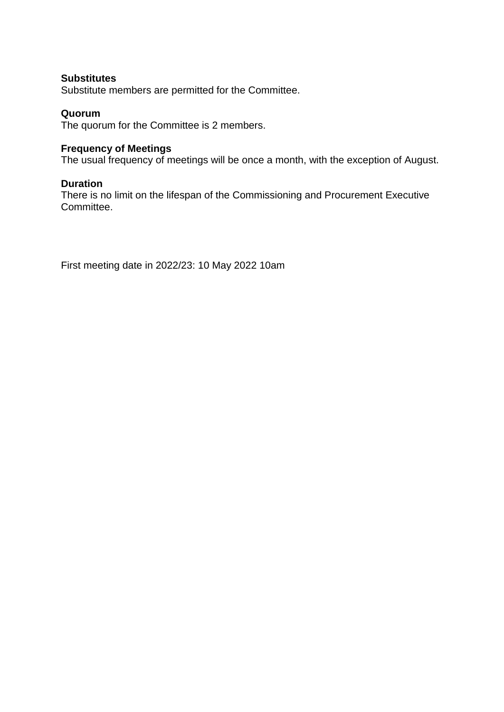### **Substitutes**

Substitute members are permitted for the Committee.

### **Quorum**

The quorum for the Committee is 2 members.

### **Frequency of Meetings**

The usual frequency of meetings will be once a month, with the exception of August.

### **Duration**

There is no limit on the lifespan of the Commissioning and Procurement Executive Committee.

First meeting date in 2022/23: 10 May 2022 10am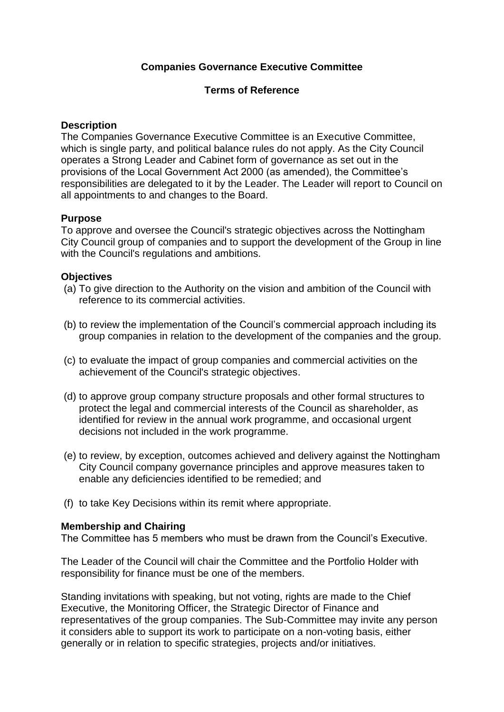## **Companies Governance Executive Committee**

### **Terms of Reference**

### **Description**

The Companies Governance Executive Committee is an Executive Committee, which is single party, and political balance rules do not apply. As the City Council operates a Strong Leader and Cabinet form of governance as set out in the provisions of the Local Government Act 2000 (as amended), the Committee's responsibilities are delegated to it by the Leader. The Leader will report to Council on all appointments to and changes to the Board.

## **Purpose**

To approve and oversee the Council's strategic objectives across the Nottingham City Council group of companies and to support the development of the Group in line with the Council's regulations and ambitions.

### **Objectives**

- (a) To give direction to the Authority on the vision and ambition of the Council with reference to its commercial activities.
- (b) to review the implementation of the Council's commercial approach including its group companies in relation to the development of the companies and the group.
- (c) to evaluate the impact of group companies and commercial activities on the achievement of the Council's strategic objectives.
- (d) to approve group company structure proposals and other formal structures to protect the legal and commercial interests of the Council as shareholder, as identified for review in the annual work programme, and occasional urgent decisions not included in the work programme.
- (e) to review, by exception, outcomes achieved and delivery against the Nottingham City Council company governance principles and approve measures taken to enable any deficiencies identified to be remedied; and
- (f) to take Key Decisions within its remit where appropriate.

## **Membership and Chairing**

The Committee has 5 members who must be drawn from the Council's Executive.

The Leader of the Council will chair the Committee and the Portfolio Holder with responsibility for finance must be one of the members.

Standing invitations with speaking, but not voting, rights are made to the Chief Executive, the Monitoring Officer, the Strategic Director of Finance and representatives of the group companies. The Sub-Committee may invite any person it considers able to support its work to participate on a non-voting basis, either generally or in relation to specific strategies, projects and/or initiatives.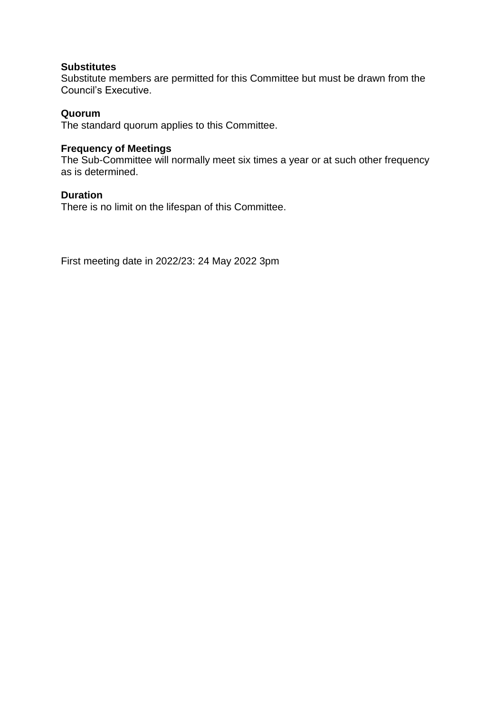## **Substitutes**

Substitute members are permitted for this Committee but must be drawn from the Council's Executive.

### **Quorum**

The standard quorum applies to this Committee.

#### **Frequency of Meetings**

The Sub-Committee will normally meet six times a year or at such other frequency as is determined.

### **Duration**

There is no limit on the lifespan of this Committee.

First meeting date in 2022/23: 24 May 2022 3pm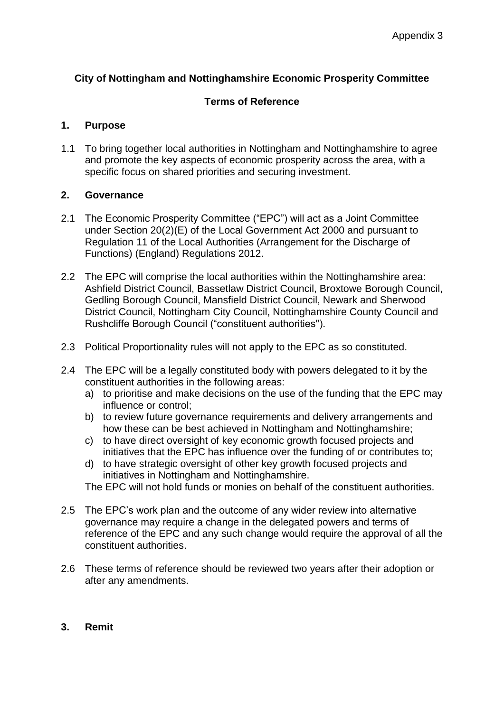## **City of Nottingham and Nottinghamshire Economic Prosperity Committee**

## **Terms of Reference**

## **1. Purpose**

1.1 To bring together local authorities in Nottingham and Nottinghamshire to agree and promote the key aspects of economic prosperity across the area, with a specific focus on shared priorities and securing investment.

## **2. Governance**

- 2.1 The Economic Prosperity Committee ("EPC") will act as a Joint Committee under Section 20(2)(E) of the Local Government Act 2000 and pursuant to Regulation 11 of the Local Authorities (Arrangement for the Discharge of Functions) (England) Regulations 2012.
- 2.2 The EPC will comprise the local authorities within the Nottinghamshire area: Ashfield District Council, Bassetlaw District Council, Broxtowe Borough Council, Gedling Borough Council, Mansfield District Council, Newark and Sherwood District Council, Nottingham City Council, Nottinghamshire County Council and Rushcliffe Borough Council ("constituent authorities").
- 2.3 Political Proportionality rules will not apply to the EPC as so constituted.
- 2.4 The EPC will be a legally constituted body with powers delegated to it by the constituent authorities in the following areas:
	- a) to prioritise and make decisions on the use of the funding that the EPC may influence or control;
	- b) to review future governance requirements and delivery arrangements and how these can be best achieved in Nottingham and Nottinghamshire;
	- c) to have direct oversight of key economic growth focused projects and initiatives that the EPC has influence over the funding of or contributes to;
	- d) to have strategic oversight of other key growth focused projects and initiatives in Nottingham and Nottinghamshire.
	- The EPC will not hold funds or monies on behalf of the constituent authorities.
- 2.5 The EPC's work plan and the outcome of any wider review into alternative governance may require a change in the delegated powers and terms of reference of the EPC and any such change would require the approval of all the constituent authorities.
- 2.6 These terms of reference should be reviewed two years after their adoption or after any amendments.
- **3. Remit**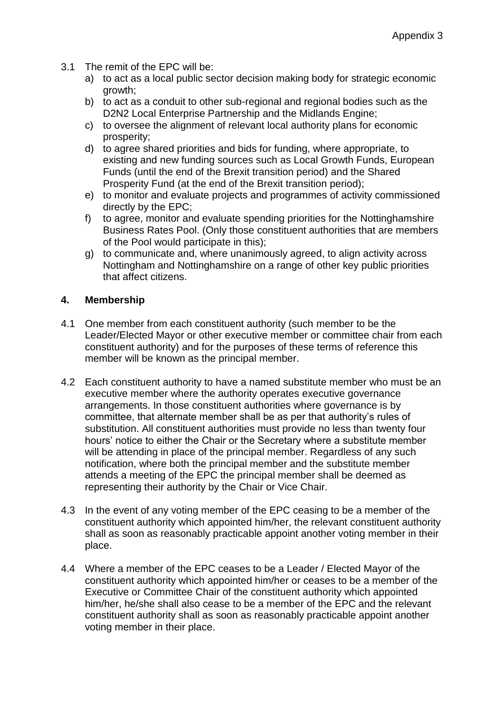- 3.1 The remit of the EPC will be:
	- a) to act as a local public sector decision making body for strategic economic growth;
	- b) to act as a conduit to other sub-regional and regional bodies such as the D2N2 Local Enterprise Partnership and the Midlands Engine;
	- c) to oversee the alignment of relevant local authority plans for economic prosperity;
	- d) to agree shared priorities and bids for funding, where appropriate, to existing and new funding sources such as Local Growth Funds, European Funds (until the end of the Brexit transition period) and the Shared Prosperity Fund (at the end of the Brexit transition period);
	- e) to monitor and evaluate projects and programmes of activity commissioned directly by the EPC;
	- f) to agree, monitor and evaluate spending priorities for the Nottinghamshire Business Rates Pool. (Only those constituent authorities that are members of the Pool would participate in this);
	- g) to communicate and, where unanimously agreed, to align activity across Nottingham and Nottinghamshire on a range of other key public priorities that affect citizens.

## **4. Membership**

- 4.1 One member from each constituent authority (such member to be the Leader/Elected Mayor or other executive member or committee chair from each constituent authority) and for the purposes of these terms of reference this member will be known as the principal member.
- 4.2 Each constituent authority to have a named substitute member who must be an executive member where the authority operates executive governance arrangements. In those constituent authorities where governance is by committee, that alternate member shall be as per that authority's rules of substitution. All constituent authorities must provide no less than twenty four hours' notice to either the Chair or the Secretary where a substitute member will be attending in place of the principal member. Regardless of any such notification, where both the principal member and the substitute member attends a meeting of the EPC the principal member shall be deemed as representing their authority by the Chair or Vice Chair.
- 4.3 In the event of any voting member of the EPC ceasing to be a member of the constituent authority which appointed him/her, the relevant constituent authority shall as soon as reasonably practicable appoint another voting member in their place.
- 4.4 Where a member of the EPC ceases to be a Leader / Elected Mayor of the constituent authority which appointed him/her or ceases to be a member of the Executive or Committee Chair of the constituent authority which appointed him/her, he/she shall also cease to be a member of the EPC and the relevant constituent authority shall as soon as reasonably practicable appoint another voting member in their place.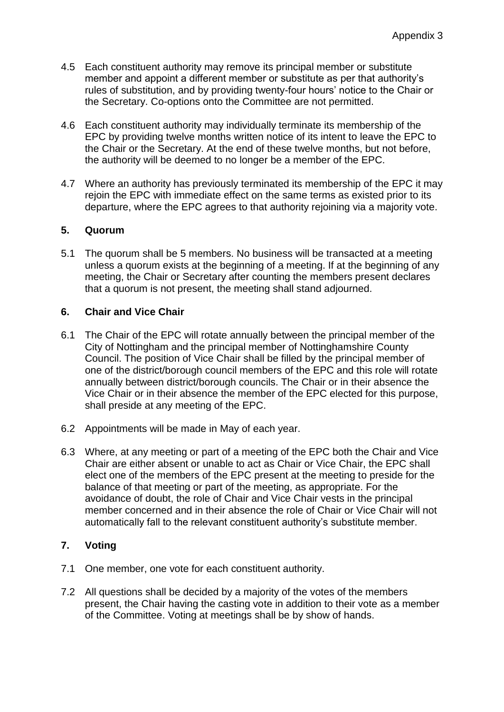- 4.5 Each constituent authority may remove its principal member or substitute member and appoint a different member or substitute as per that authority's rules of substitution, and by providing twenty-four hours' notice to the Chair or the Secretary. Co-options onto the Committee are not permitted.
- 4.6 Each constituent authority may individually terminate its membership of the EPC by providing twelve months written notice of its intent to leave the EPC to the Chair or the Secretary. At the end of these twelve months, but not before, the authority will be deemed to no longer be a member of the EPC.
- 4.7 Where an authority has previously terminated its membership of the EPC it may rejoin the EPC with immediate effect on the same terms as existed prior to its departure, where the EPC agrees to that authority rejoining via a majority vote.

## **5. Quorum**

5.1 The quorum shall be 5 members. No business will be transacted at a meeting unless a quorum exists at the beginning of a meeting. If at the beginning of any meeting, the Chair or Secretary after counting the members present declares that a quorum is not present, the meeting shall stand adjourned.

## **6. Chair and Vice Chair**

- 6.1 The Chair of the EPC will rotate annually between the principal member of the City of Nottingham and the principal member of Nottinghamshire County Council. The position of Vice Chair shall be filled by the principal member of one of the district/borough council members of the EPC and this role will rotate annually between district/borough councils. The Chair or in their absence the Vice Chair or in their absence the member of the EPC elected for this purpose, shall preside at any meeting of the EPC.
- 6.2 Appointments will be made in May of each year.
- 6.3 Where, at any meeting or part of a meeting of the EPC both the Chair and Vice Chair are either absent or unable to act as Chair or Vice Chair, the EPC shall elect one of the members of the EPC present at the meeting to preside for the balance of that meeting or part of the meeting, as appropriate. For the avoidance of doubt, the role of Chair and Vice Chair vests in the principal member concerned and in their absence the role of Chair or Vice Chair will not automatically fall to the relevant constituent authority's substitute member.

# **7. Voting**

- 7.1 One member, one vote for each constituent authority.
- 7.2 All questions shall be decided by a majority of the votes of the members present, the Chair having the casting vote in addition to their vote as a member of the Committee. Voting at meetings shall be by show of hands.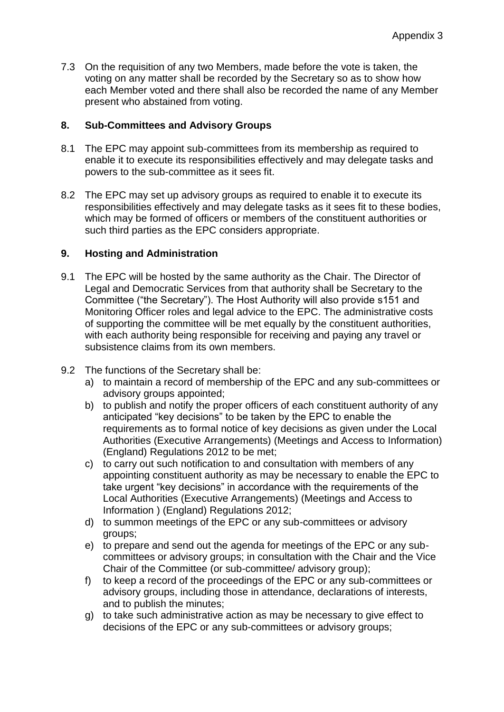7.3 On the requisition of any two Members, made before the vote is taken, the voting on any matter shall be recorded by the Secretary so as to show how each Member voted and there shall also be recorded the name of any Member present who abstained from voting.

## **8. Sub-Committees and Advisory Groups**

- 8.1 The EPC may appoint sub-committees from its membership as required to enable it to execute its responsibilities effectively and may delegate tasks and powers to the sub-committee as it sees fit.
- 8.2 The EPC may set up advisory groups as required to enable it to execute its responsibilities effectively and may delegate tasks as it sees fit to these bodies, which may be formed of officers or members of the constituent authorities or such third parties as the EPC considers appropriate.

## **9. Hosting and Administration**

- 9.1 The EPC will be hosted by the same authority as the Chair. The Director of Legal and Democratic Services from that authority shall be Secretary to the Committee ("the Secretary"). The Host Authority will also provide s151 and Monitoring Officer roles and legal advice to the EPC. The administrative costs of supporting the committee will be met equally by the constituent authorities, with each authority being responsible for receiving and paying any travel or subsistence claims from its own members.
- 9.2 The functions of the Secretary shall be:
	- a) to maintain a record of membership of the EPC and any sub-committees or advisory groups appointed;
	- b) to publish and notify the proper officers of each constituent authority of any anticipated "key decisions" to be taken by the EPC to enable the requirements as to formal notice of key decisions as given under the Local Authorities (Executive Arrangements) (Meetings and Access to Information) (England) Regulations 2012 to be met;
	- c) to carry out such notification to and consultation with members of any appointing constituent authority as may be necessary to enable the EPC to take urgent "key decisions" in accordance with the requirements of the Local Authorities (Executive Arrangements) (Meetings and Access to Information ) (England) Regulations 2012;
	- d) to summon meetings of the EPC or any sub-committees or advisory groups;
	- e) to prepare and send out the agenda for meetings of the EPC or any subcommittees or advisory groups; in consultation with the Chair and the Vice Chair of the Committee (or sub-committee/ advisory group);
	- f) to keep a record of the proceedings of the EPC or any sub-committees or advisory groups, including those in attendance, declarations of interests, and to publish the minutes;
	- g) to take such administrative action as may be necessary to give effect to decisions of the EPC or any sub-committees or advisory groups;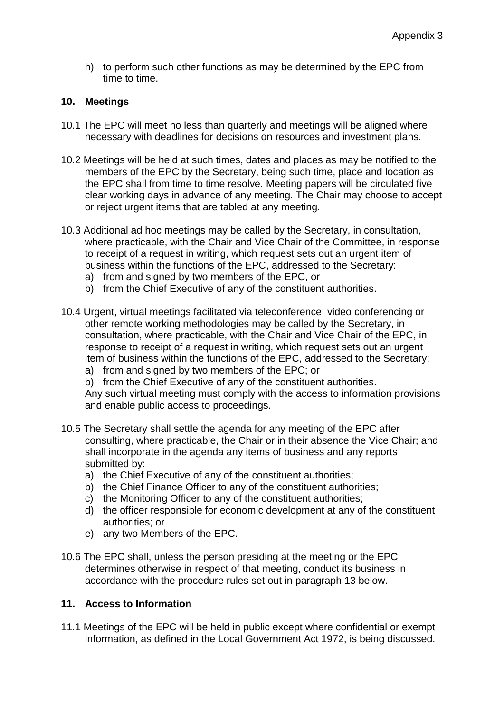h) to perform such other functions as may be determined by the EPC from time to time.

## **10. Meetings**

- 10.1 The EPC will meet no less than quarterly and meetings will be aligned where necessary with deadlines for decisions on resources and investment plans.
- 10.2 Meetings will be held at such times, dates and places as may be notified to the members of the EPC by the Secretary, being such time, place and location as the EPC shall from time to time resolve. Meeting papers will be circulated five clear working days in advance of any meeting. The Chair may choose to accept or reject urgent items that are tabled at any meeting.
- 10.3 Additional ad hoc meetings may be called by the Secretary, in consultation, where practicable, with the Chair and Vice Chair of the Committee, in response to receipt of a request in writing, which request sets out an urgent item of business within the functions of the EPC, addressed to the Secretary:
	- a) from and signed by two members of the EPC, or
	- b) from the Chief Executive of any of the constituent authorities.
- 10.4 Urgent, virtual meetings facilitated via teleconference, video conferencing or other remote working methodologies may be called by the Secretary, in consultation, where practicable, with the Chair and Vice Chair of the EPC, in response to receipt of a request in writing, which request sets out an urgent item of business within the functions of the EPC, addressed to the Secretary:
	- a) from and signed by two members of the EPC; or
	- b) from the Chief Executive of any of the constituent authorities.

Any such virtual meeting must comply with the access to information provisions and enable public access to proceedings.

- 10.5 The Secretary shall settle the agenda for any meeting of the EPC after consulting, where practicable, the Chair or in their absence the Vice Chair; and shall incorporate in the agenda any items of business and any reports submitted by:
	- a) the Chief Executive of any of the constituent authorities;
	- b) the Chief Finance Officer to any of the constituent authorities;
	- c) the Monitoring Officer to any of the constituent authorities;
	- d) the officer responsible for economic development at any of the constituent authorities; or
	- e) any two Members of the EPC.
- 10.6 The EPC shall, unless the person presiding at the meeting or the EPC determines otherwise in respect of that meeting, conduct its business in accordance with the procedure rules set out in paragraph 13 below.

#### **11. Access to Information**

11.1 Meetings of the EPC will be held in public except where confidential or exempt information, as defined in the Local Government Act 1972, is being discussed.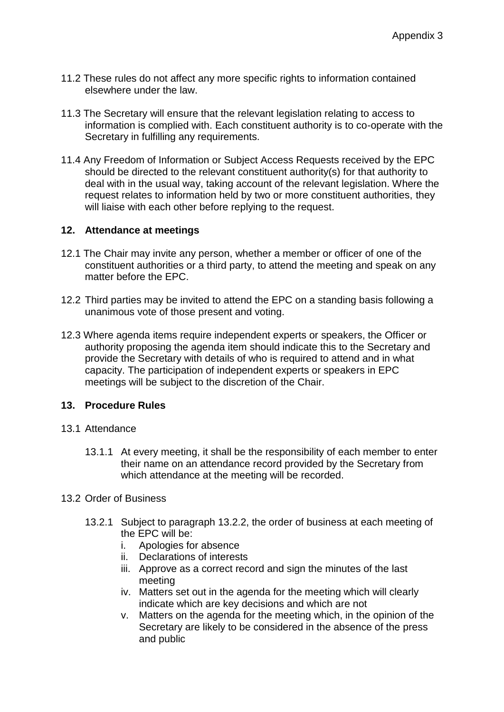- 11.2 These rules do not affect any more specific rights to information contained elsewhere under the law.
- 11.3 The Secretary will ensure that the relevant legislation relating to access to information is complied with. Each constituent authority is to co-operate with the Secretary in fulfilling any requirements.
- 11.4 Any Freedom of Information or Subject Access Requests received by the EPC should be directed to the relevant constituent authority(s) for that authority to deal with in the usual way, taking account of the relevant legislation. Where the request relates to information held by two or more constituent authorities, they will liaise with each other before replying to the request.

### **12. Attendance at meetings**

- 12.1 The Chair may invite any person, whether a member or officer of one of the constituent authorities or a third party, to attend the meeting and speak on any matter before the EPC.
- 12.2 Third parties may be invited to attend the EPC on a standing basis following a unanimous vote of those present and voting.
- 12.3 Where agenda items require independent experts or speakers, the Officer or authority proposing the agenda item should indicate this to the Secretary and provide the Secretary with details of who is required to attend and in what capacity. The participation of independent experts or speakers in EPC meetings will be subject to the discretion of the Chair.

#### **13. Procedure Rules**

- 13.1 Attendance
	- 13.1.1 At every meeting, it shall be the responsibility of each member to enter their name on an attendance record provided by the Secretary from which attendance at the meeting will be recorded.
- 13.2 Order of Business
	- 13.2.1 Subject to paragraph 13.2.2, the order of business at each meeting of the EPC will be:
		- i. Apologies for absence
		- ii. Declarations of interests
		- iii. Approve as a correct record and sign the minutes of the last meeting
		- iv. Matters set out in the agenda for the meeting which will clearly indicate which are key decisions and which are not
		- v. Matters on the agenda for the meeting which, in the opinion of the Secretary are likely to be considered in the absence of the press and public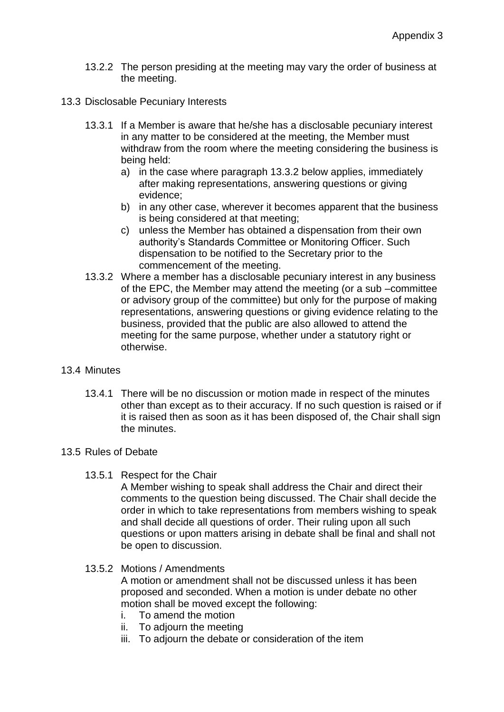- 13.2.2 The person presiding at the meeting may vary the order of business at the meeting.
- 13.3 Disclosable Pecuniary Interests
	- 13.3.1 If a Member is aware that he/she has a disclosable pecuniary interest in any matter to be considered at the meeting, the Member must withdraw from the room where the meeting considering the business is being held:
		- a) in the case where paragraph 13.3.2 below applies, immediately after making representations, answering questions or giving evidence;
		- b) in any other case, wherever it becomes apparent that the business is being considered at that meeting;
		- c) unless the Member has obtained a dispensation from their own authority's Standards Committee or Monitoring Officer. Such dispensation to be notified to the Secretary prior to the commencement of the meeting.
	- 13.3.2 Where a member has a disclosable pecuniary interest in any business of the EPC, the Member may attend the meeting (or a sub –committee or advisory group of the committee) but only for the purpose of making representations, answering questions or giving evidence relating to the business, provided that the public are also allowed to attend the meeting for the same purpose, whether under a statutory right or otherwise.

#### 13.4 Minutes

13.4.1 There will be no discussion or motion made in respect of the minutes other than except as to their accuracy. If no such question is raised or if it is raised then as soon as it has been disposed of, the Chair shall sign the minutes.

## 13.5 Rules of Debate

13.5.1 Respect for the Chair

A Member wishing to speak shall address the Chair and direct their comments to the question being discussed. The Chair shall decide the order in which to take representations from members wishing to speak and shall decide all questions of order. Their ruling upon all such questions or upon matters arising in debate shall be final and shall not be open to discussion.

13.5.2 Motions / Amendments

A motion or amendment shall not be discussed unless it has been proposed and seconded. When a motion is under debate no other motion shall be moved except the following:

- i. To amend the motion
- ii. To adjourn the meeting
- iii. To adjourn the debate or consideration of the item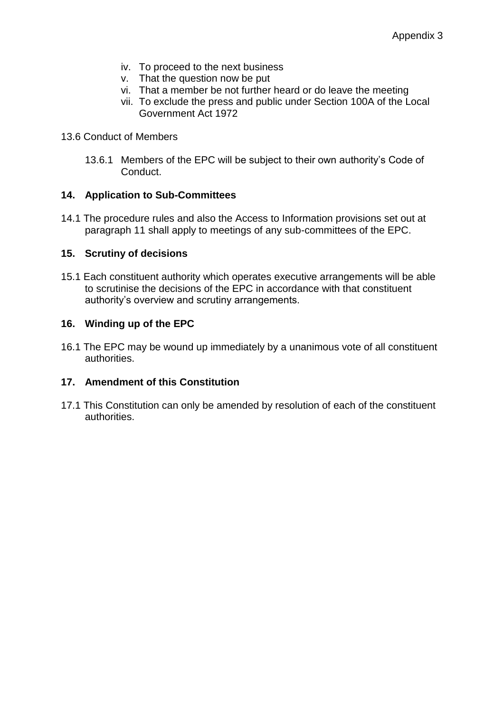- iv. To proceed to the next business
- v. That the question now be put
- vi. That a member be not further heard or do leave the meeting
- vii. To exclude the press and public under Section 100A of the Local Government Act 1972
- 13.6 Conduct of Members
	- 13.6.1 Members of the EPC will be subject to their own authority's Code of Conduct.

## **14. Application to Sub-Committees**

14.1 The procedure rules and also the Access to Information provisions set out at paragraph 11 shall apply to meetings of any sub-committees of the EPC.

## **15. Scrutiny of decisions**

15.1 Each constituent authority which operates executive arrangements will be able to scrutinise the decisions of the EPC in accordance with that constituent authority's overview and scrutiny arrangements.

## **16. Winding up of the EPC**

16.1 The EPC may be wound up immediately by a unanimous vote of all constituent authorities.

## **17. Amendment of this Constitution**

17.1 This Constitution can only be amended by resolution of each of the constituent authorities.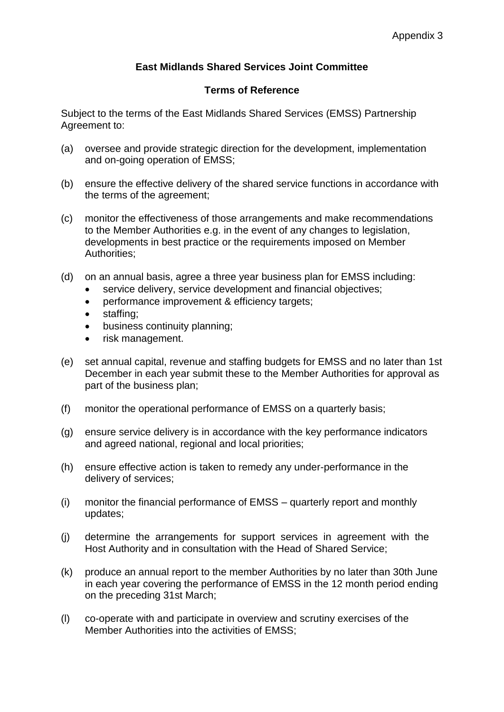# **East Midlands Shared Services Joint Committee**

## **Terms of Reference**

Subject to the terms of the East Midlands Shared Services (EMSS) Partnership Agreement to:

- (a) oversee and provide strategic direction for the development, implementation and on-going operation of EMSS;
- (b) ensure the effective delivery of the shared service functions in accordance with the terms of the agreement;
- (c) monitor the effectiveness of those arrangements and make recommendations to the Member Authorities e.g. in the event of any changes to legislation, developments in best practice or the requirements imposed on Member Authorities;
- (d) on an annual basis, agree a three year business plan for EMSS including:
	- service delivery, service development and financial objectives;
	- performance improvement & efficiency targets;
	- staffing;
	- business continuity planning;
	- risk management.
- (e) set annual capital, revenue and staffing budgets for EMSS and no later than 1st December in each year submit these to the Member Authorities for approval as part of the business plan;
- (f) monitor the operational performance of EMSS on a quarterly basis;
- (g) ensure service delivery is in accordance with the key performance indicators and agreed national, regional and local priorities;
- (h) ensure effective action is taken to remedy any under-performance in the delivery of services;
- (i) monitor the financial performance of EMSS quarterly report and monthly updates;
- (j) determine the arrangements for support services in agreement with the Host Authority and in consultation with the Head of Shared Service;
- (k) produce an annual report to the member Authorities by no later than 30th June in each year covering the performance of EMSS in the 12 month period ending on the preceding 31st March;
- (l) co-operate with and participate in overview and scrutiny exercises of the Member Authorities into the activities of EMSS;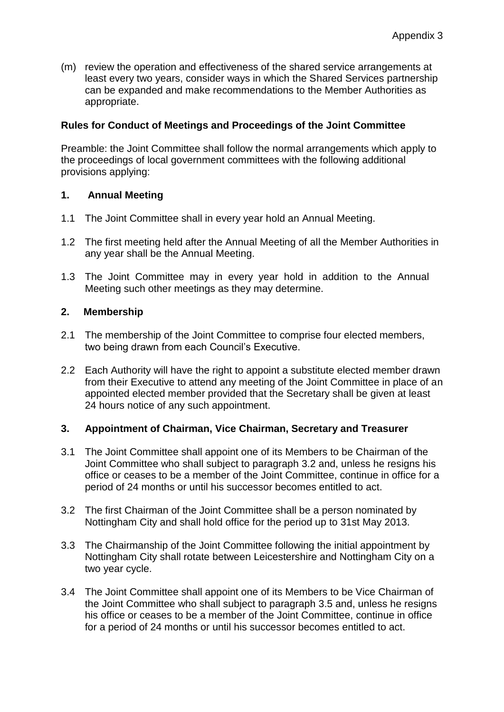(m) review the operation and effectiveness of the shared service arrangements at least every two years, consider ways in which the Shared Services partnership can be expanded and make recommendations to the Member Authorities as appropriate.

## **Rules for Conduct of Meetings and Proceedings of the Joint Committee**

Preamble: the Joint Committee shall follow the normal arrangements which apply to the proceedings of local government committees with the following additional provisions applying:

## **1. Annual Meeting**

- 1.1 The Joint Committee shall in every year hold an Annual Meeting.
- 1.2 The first meeting held after the Annual Meeting of all the Member Authorities in any year shall be the Annual Meeting.
- 1.3 The Joint Committee may in every year hold in addition to the Annual Meeting such other meetings as they may determine.

## **2. Membership**

- 2.1 The membership of the Joint Committee to comprise four elected members, two being drawn from each Council's Executive.
- 2.2 Each Authority will have the right to appoint a substitute elected member drawn from their Executive to attend any meeting of the Joint Committee in place of an appointed elected member provided that the Secretary shall be given at least 24 hours notice of any such appointment.

## **3. Appointment of Chairman, Vice Chairman, Secretary and Treasurer**

- 3.1 The Joint Committee shall appoint one of its Members to be Chairman of the Joint Committee who shall subject to paragraph 3.2 and, unless he resigns his office or ceases to be a member of the Joint Committee, continue in office for a period of 24 months or until his successor becomes entitled to act.
- 3.2 The first Chairman of the Joint Committee shall be a person nominated by Nottingham City and shall hold office for the period up to 31st May 2013.
- 3.3 The Chairmanship of the Joint Committee following the initial appointment by Nottingham City shall rotate between Leicestershire and Nottingham City on a two year cycle.
- 3.4 The Joint Committee shall appoint one of its Members to be Vice Chairman of the Joint Committee who shall subject to paragraph 3.5 and, unless he resigns his office or ceases to be a member of the Joint Committee, continue in office for a period of 24 months or until his successor becomes entitled to act.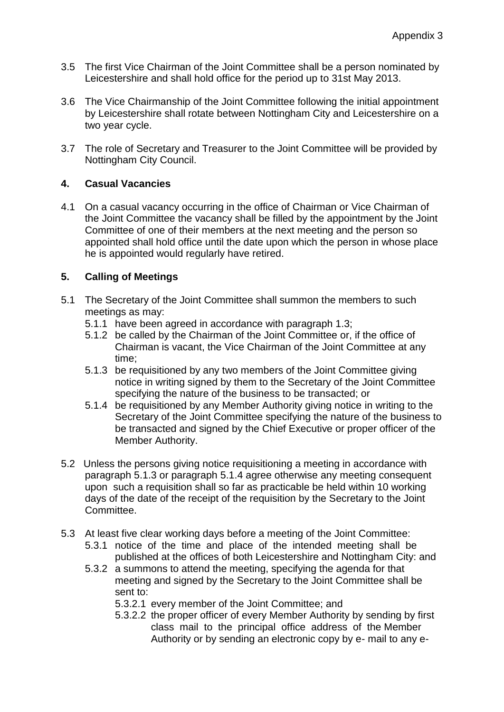- 3.5 The first Vice Chairman of the Joint Committee shall be a person nominated by Leicestershire and shall hold office for the period up to 31st May 2013.
- 3.6 The Vice Chairmanship of the Joint Committee following the initial appointment by Leicestershire shall rotate between Nottingham City and Leicestershire on a two year cycle.
- 3.7 The role of Secretary and Treasurer to the Joint Committee will be provided by Nottingham City Council.

## **4. Casual Vacancies**

4.1 On a casual vacancy occurring in the office of Chairman or Vice Chairman of the Joint Committee the vacancy shall be filled by the appointment by the Joint Committee of one of their members at the next meeting and the person so appointed shall hold office until the date upon which the person in whose place he is appointed would regularly have retired.

## **5. Calling of Meetings**

- 5.1 The Secretary of the Joint Committee shall summon the members to such meetings as may:
	- 5.1.1 have been agreed in accordance with paragraph 1.3;
	- 5.1.2 be called by the Chairman of the Joint Committee or, if the office of Chairman is vacant, the Vice Chairman of the Joint Committee at any time;
	- 5.1.3 be requisitioned by any two members of the Joint Committee giving notice in writing signed by them to the Secretary of the Joint Committee specifying the nature of the business to be transacted; or
	- 5.1.4 be requisitioned by any Member Authority giving notice in writing to the Secretary of the Joint Committee specifying the nature of the business to be transacted and signed by the Chief Executive or proper officer of the Member Authority.
- 5.2 Unless the persons giving notice requisitioning a meeting in accordance with paragraph 5.1.3 or paragraph 5.1.4 agree otherwise any meeting consequent upon such a requisition shall so far as practicable be held within 10 working days of the date of the receipt of the requisition by the Secretary to the Joint Committee.
- 5.3 At least five clear working days before a meeting of the Joint Committee:
	- 5.3.1 notice of the time and place of the intended meeting shall be published at the offices of both Leicestershire and Nottingham City: and
	- 5.3.2 a summons to attend the meeting, specifying the agenda for that meeting and signed by the Secretary to the Joint Committee shall be sent to:
		- 5.3.2.1 every member of the Joint Committee; and
		- 5.3.2.2 the proper officer of every Member Authority by sending by first class mail to the principal office address of the Member Authority or by sending an electronic copy by e- mail to any e-